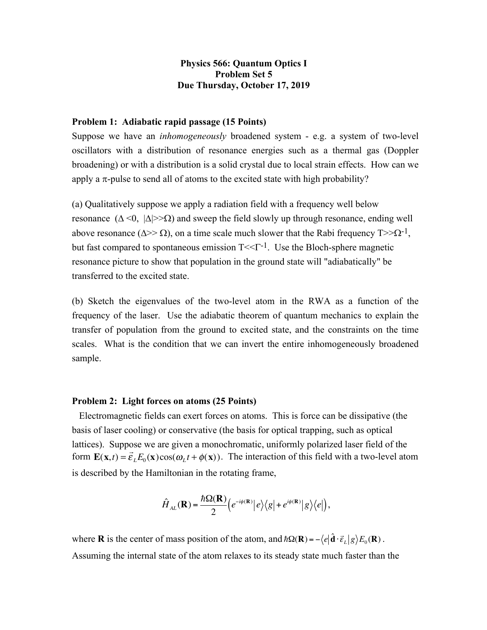## **Physics 566: Quantum Optics I Problem Set 5 Due Thursday, October 17, 2019**

## **Problem 1: Adiabatic rapid passage (15 Points)**

Suppose we have an *inhomogeneously* broadened system - e.g. a system of two-level oscillators with a distribution of resonance energies such as a thermal gas (Doppler broadening) or with a distribution is a solid crystal due to local strain effects. How can we apply a  $\pi$ -pulse to send all of atoms to the excited state with high probability?

(a) Qualitatively suppose we apply a radiation field with a frequency well below resonance  $(\Delta < 0, |\Delta| > \Omega)$  and sweep the field slowly up through resonance, ending well above resonance ( $\Delta$ >  $\Omega$ ), on a time scale much slower that the Rabi frequency T> $\Omega$ <sup>-1</sup>, but fast compared to spontaneous emission  $T \leq T^{-1}$ . Use the Bloch-sphere magnetic resonance picture to show that population in the ground state will "adiabatically" be transferred to the excited state.

(b) Sketch the eigenvalues of the two-level atom in the RWA as a function of the frequency of the laser. Use the adiabatic theorem of quantum mechanics to explain the transfer of population from the ground to excited state, and the constraints on the time scales. What is the condition that we can invert the entire inhomogeneously broadened sample.

## **Problem 2: Light forces on atoms (25 Points)**

 Electromagnetic fields can exert forces on atoms. This is force can be dissipative (the basis of laser cooling) or conservative (the basis for optical trapping, such as optical lattices). Suppose we are given a monochromatic, uniformly polarized laser field of the form  $\mathbf{E}(\mathbf{x},t) = \vec{\varepsilon}_L E_0(\mathbf{x}) \cos(\omega_L t + \phi(\mathbf{x}))$ . The interaction of this field with a two-level atom is described by the Hamiltonian in the rotating frame,

$$
\hat{H}_{AL}(\mathbf{R}) = \frac{\hbar\Omega(\mathbf{R})}{2} \Big(e^{-i\phi(\mathbf{R})} |e\rangle \Big\langle g| + e^{i\phi(\mathbf{R})} |g\rangle \Big\langle e| \Big),
$$

where **R** is the center of mass position of the atom, and  $\hbar\Omega(\mathbf{R}) = -\langle e|\hat{\mathbf{d}}\cdot\vec{\epsilon}_L|g\rangle E_0(\mathbf{R})$ . Assuming the internal state of the atom relaxes to its steady state much faster than the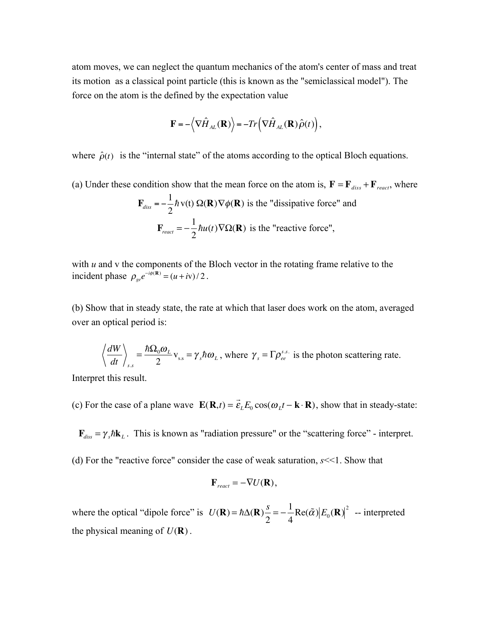atom moves, we can neglect the quantum mechanics of the atom's center of mass and treat its motion as a classical point particle (this is known as the "semiclassical model"). The force on the atom is the defined by the expectation value

$$
\mathbf{F} = -\langle \nabla \hat{H}_{AL}(\mathbf{R}) \rangle = -Tr \left( \nabla \hat{H}_{AL}(\mathbf{R}) \hat{\rho}(t) \right),\,
$$

where  $\hat{\rho}(t)$  is the "internal state" of the atoms according to the optical Bloch equations.

(a) Under these condition show that the mean force on the atom is,  $\mathbf{F} = \mathbf{F}_{diss} + \mathbf{F}_{react}$ , where  $\mathbf{F}_{diss} = -\frac{1}{2}\hbar v(t) \Omega(\mathbf{R}) \nabla \phi(\mathbf{R})$  is the "dissipative force" and  $\mathbf{F}_{react} = -\frac{1}{2}\hbar u(t)\nabla\Omega(\mathbf{R})$  is the "reactive force",  $\hbar$  v(t)  $\Omega(\mathbf{R})\nabla\phi(\mathbf{R})$  $\hbar u(t)\nabla\Omega(\mathbf{R})$ 

with *u* and v the components of the Bloch vector in the rotating frame relative to the incident phase  $\rho_{ge}e^{-i\phi(\mathbf{R})} = (u + iv)/2$ .

(b) Show that in steady state, the rate at which that laser does work on the atom, averaged over an optical period is:

$$
\left\langle \frac{dW}{dt} \right\rangle_{s.s} = \frac{\hbar \Omega_0 \omega_L}{2} v_{ss} = \gamma_s \hbar \omega_L
$$
, where  $\gamma_s = \Gamma \rho_{ee}^{s.s.}$  is the photon scattering rate.

Interpret this result.

(c) For the case of a plane wave  $\mathbf{E}(\mathbf{R},t) = \vec{\varepsilon}_L E_0 \cos(\omega_L t - \mathbf{k} \cdot \mathbf{R})$ , show that in steady-state:

 $\mathbf{F}_{diss} = \gamma_s \hbar \mathbf{k}_L$ . This is known as "radiation pressure" or the "scattering force" - interpret.

(d) For the "reactive force" consider the case of weak saturation, *s*<<1. Show that

$$
\mathbf{F}_{\text{react}} = -\nabla U(\mathbf{R}),
$$

where the optical "dipole force" is  $U(\mathbf{R}) = \hbar \Delta(\mathbf{R}) \frac{s}{2} = -\frac{1}{4} \text{Re}(\tilde{\alpha}) |E_0(\mathbf{R})|^2$  -- interpreted the physical meaning of  $U(\mathbf{R})$ .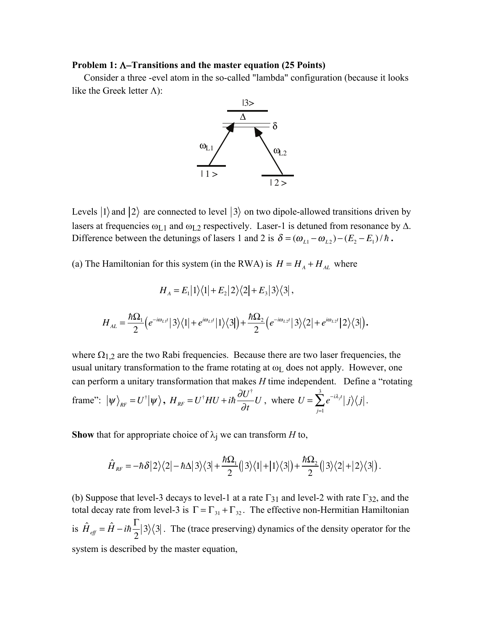## Problem 1:  $\Lambda$ -Transitions and the master equation (25 Points)

 Consider a three -evel atom in the so-called "lambda" configuration (because it looks like the Greek letter  $\Lambda$ ):



Levels  $|1\rangle$  and  $|2\rangle$  are connected to level  $|3\rangle$  on two dipole-allowed transitions driven by lasers at frequencies  $\omega_{L1}$  and  $\omega_{L2}$  respectively. Laser-1 is detuned from resonance by  $\Delta$ . Difference between the detunings of lasers 1 and 2 is  $\delta = (\omega_{L1} - \omega_{L2}) - (E_2 - E_1)/\hbar$ .

(a) The Hamiltonian for this system (in the RWA) is  $H = H_A + H_{AL}$  where

$$
H_A = E_1|1\rangle\langle 1| + E_2|2\rangle\langle 2| + E_3|3\rangle\langle 3|,
$$

$$
H_{AL} = \frac{\hbar\Omega_1}{2} \Big( e^{-i\omega_{L1}t} \big| 3 \big\rangle \big\langle 1 \big| + e^{i\omega_{L1}t} \big| 1 \big\rangle \big\langle 3 \big| \Big) + \frac{\hbar\Omega_2}{2} \Big( e^{-i\omega_{L2}t} \big| 3 \big\rangle \big\langle 2 \big| + e^{i\omega_{L2}t} \big| 2 \big\rangle \big\langle 3 \big| \Big).
$$

where  $\Omega_{1,2}$  are the two Rabi frequencies. Because there are two laser frequencies, the usual unitary transformation to the frame rotating at  $\omega_L$  does not apply. However, one can perform a unitary transformation that makes *H* time independent. Define a "rotating frame":  $|\psi\rangle_{RF} = U^{\dagger}|\psi\rangle$ ,  $H_{RF} = U^{\dagger}HU + i\hbar \frac{\partial U^{\dagger}}{\partial t}U$ , where  $U = \sum_{i=1}^{3} e^{-i\lambda_{i}t} |j\rangle\langle j|.$ ∂*t U*, where  $U = \sum e^{-i\lambda_j t} |j|$ *j*=1  $\sum^3 e^{-i\lambda_j t} \big| \, j \big\rangle \big\langle j$ 

**Show** that for appropriate choice of  $\lambda_i$  we can transform *H* to,

$$
\hat{H}_{RF} = -\hbar \delta |2\rangle\langle 2| - \hbar \Delta |3\rangle\langle 3| + \frac{\hbar \Omega_1}{2} (|3\rangle\langle 1| + |1\rangle\langle 3|) + \frac{\hbar \Omega_2}{2} (|3\rangle\langle 2| + |2\rangle\langle 3|).
$$

(b) Suppose that level-3 decays to level-1 at a rate  $\Gamma_{31}$  and level-2 with rate  $\Gamma_{32}$ , and the total decay rate from level-3 is  $\Gamma = \Gamma_{31} + \Gamma_{32}$ . The effective non-Hermitian Hamiltonian is  $\hat{H}_{\text{eff}} = \hat{H} - i\hbar \frac{\Gamma}{2} |3\rangle\langle 3|$ . The (trace preserving) dynamics of the density operator for the system is described by the master equation,  $3\rangle$ (3